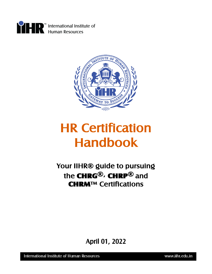



# HR Certification Handbook

Your IIHR® guide to pursuing the CHRG®, CHRP® and CHRM™ Certifications

April 01, 2022

International Institute of Human Resources

www.iihr.edu.in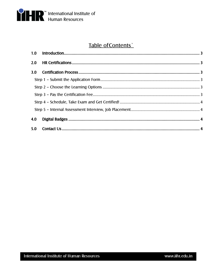

## Table of Contents`

| 3.0 |  |
|-----|--|
|     |  |
|     |  |
|     |  |
|     |  |
|     |  |
| 4.0 |  |
| 5.0 |  |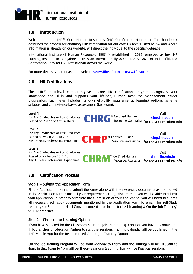<span id="page-2-0"></span>

## 1.0 Introduction

Welcome to the IIHR<sup>®</sup> Core Human Resources (HR) Certification Handbook. This handbook describes the process for attaining IIHR certification for our core HR levels listed below and where information is already on our website, will direct the individual to the specific webpage.

International Institute of Human Resources (IIHR) is established in 2012, emerged as best HR Training Institute in Bangalore. IIHR is an Internationally Accredited & Govt. of India affiliated Certification Body for HR Professionals across the world.

<span id="page-2-1"></span>For more details, you can visit our website **[www.iihr.edu.in](http://www.iihr.edu.in/)** or **[www.iihr.ac.in](http://www.iihr.ac.in/)**

## 2.0 HR Certifications

The IIHR<sup>®</sup> multi-level competency-based core HR certification program recognizes your knowledge and skills and supports your lifelong Human Resource Management career progression. Each level includes its own eligibility requirements, learning options, scheme syllabus, and competency-based assessment (i.e. exam).

#### Level 1



## <span id="page-2-3"></span><span id="page-2-2"></span>3.0 Certification Process

#### Step 1 – Submit the Application Form

<span id="page-2-4"></span>Fill the Application form and submit the same along with the necessary documents as mentioned in the Application form. Once all your requirements (or goals) are met, you will be able to submit your application. In order to complete the submission of your application, you will need to submit all necessary soft copy documents mentioned in the Application Form by email (for Self-Study Learning) or Submit the Hard Copy documents (for Instructor Led Learning & On the Job Training) to IIHR branches.

#### Step 2 – Choose the Learning Options

If you have selected for the Classroom & On the Job Training (OJT) option, you have to contact the IIHR branches or Education Partner to start the sessions. Training Calendar will be published in the IIHR Mobile App for the Instructor Led On the Job Training Options.

On the Job Training Program will be from Monday to Friday and the Timings will be 10.00am to 4pm, in that 10am to 1pm will be Theory Sessions & 2pm to 4pm will be Practical sessions.

International Institute of Human Resources

for Fee & Curriculum Info